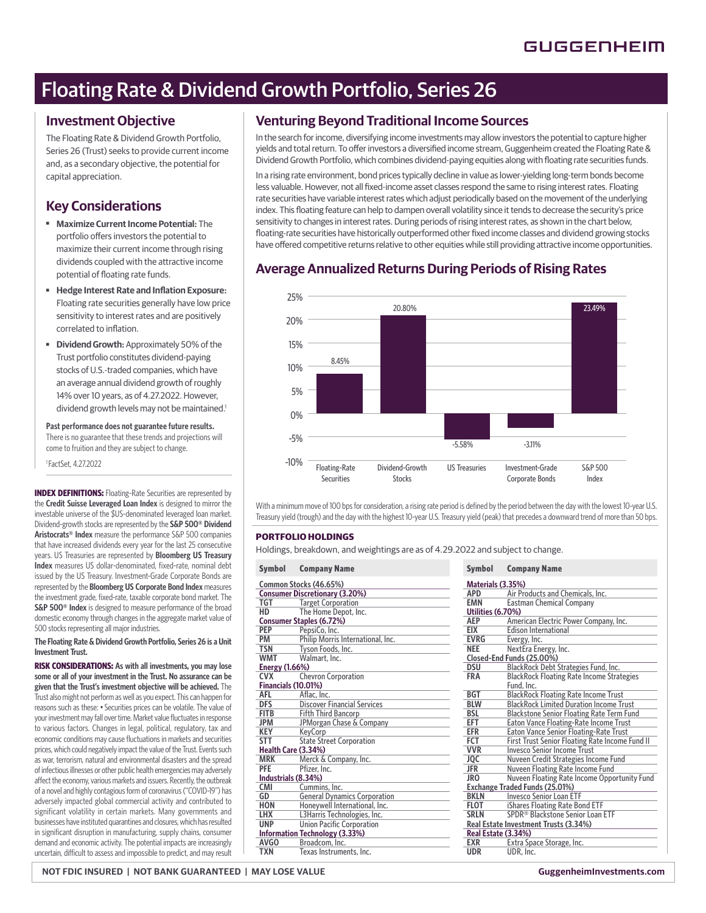# Floating Rate & Dividend Growth Portfolio, Series 26

### **Investment Objective**

The Floating Rate & Dividend Growth Portfolio, Series 26 (Trust) seeks to provide current income and, as a secondary objective, the potential for capital appreciation.

### **Key Considerations**

- ■ **Maximize Current Income Potential:** The portfolio offers investors the potential to maximize their current income through rising dividends coupled with the attractive income potential of floating rate funds.
- **Hedge Interest Rate and Inflation Exposure:** Floating rate securities generally have low price sensitivity to interest rates and are positively correlated to inflation.
- ■ **Dividend Growth:** Approximately 50% of the Trust portfolio constitutes dividend-paying stocks of U.S.-traded companies, which have an average annual dividend growth of roughly 14% over 10 years, as of 4.27.2022. However, dividend growth levels may not be maintained.<sup>1</sup>

**Past performance does not guarantee future results.** There is no guarantee that these trends and projections will come to fruition and they are subject to change.

1 FactSet, 4.27.2022

**INDEX DEFINITIONS:** Floating-Rate Securities are represented by the **Credit Suisse Leveraged Loan Index** is designed to mirror the investable universe of the \$US-denominated leveraged loan market. Dividend-growth stocks are represented by the **S&P 500® Dividend Aristocrats® Index** measure the performance S&P 500 companies that have increased dividends every year for the last 25 consecutive years. US Treasuries are represented by **Bloomberg US Treasury Index** measures US dollar-denominated, fixed-rate, nominal debt issued by the US Treasury. Investment-Grade Corporate Bonds are represented by the **Bloomberg US Corporate Bond Index** measures the investment grade, fixed-rate, taxable corporate bond market. The **S&P 500<sup>®</sup> Index** is designed to measure performance of the broad domestic economy through changes in the aggregate market value of 500 stocks representing all major industries.

**The Floating Rate & Dividend Growth Portfolio, Series 26 is a Unit Investment Trust.** 

**RISK CONSIDERATIONS: As with all investments, you may lose some or all of your investment in the Trust. No assurance can be given that the Trust's investment objective will be achieved.** The Trust also might not perform as well as you expect. This can happen for reasons such as these: • Securities prices can be volatile. The value of your investment may fall over time. Market value fluctuates in response to various factors. Changes in legal, political, regulatory, tax and economic conditions may cause fluctuations in markets and securities prices, which could negatively impact the value of the Trust. Events such as war, terrorism, natural and environmental disasters and the spread of infectious illnesses or other public health emergencies may adversely affect the economy, various markets and issuers. Recently, the outbreak of a novel and highly contagious form of coronavirus ("COVID-19") has adversely impacted global commercial activity and contributed to significant volatility in certain markets. Many governments and businesses have instituted quarantines and closures, which has resulted in significant disruption in manufacturing, supply chains, consumer demand and economic activity. The potential impacts are increasingly uncertain, difficult to assess and impossible to predict, and may result

## **Venturing Beyond Traditional Income Sources**

In the search for income, diversifying income investments may allow investors the potential to capture higher yields and total return. To offer investors a diversified income stream, Guggenheim created the Floating Rate & Dividend Growth Portfolio, which combines dividend-paying equities along with floating rate securities funds.

In a rising rate environment, bond prices typically decline in value as lower-yielding long-term bonds become less valuable. However, not all fixed-income asset classes respond the same to rising interest rates. Floating rate securities have variable interest rates which adjust periodically based on the movement of the underlying index. This floating feature can help to dampen overall volatility since it tends to decrease the security's price sensitivity to changes in interest rates. During periods of rising interest rates, as shown in the chart below, floating-rate securities have historically outperformed other fixed income classes and dividend growing stocks have offered competitive returns relative to other equities while still providing attractive income opportunities.

## **Average Annualized Returns During Periods of Rising Rates**



With a minimum move of 100 bps for consideration, a rising rate period is defined by the period between the day with the lowest 10-year U.S. Treasury yield (trough) and the day with the highest 10-year U.S. Treasury yield (peak) that precedes a downward trend of more than 50 bps.

### **PORTFOLIO HOLDINGS**

Holdings, breakdown, and weightings are as of 4.29.2022 and subject to change.

| <b>Symbol</b>                     | <b>Company Name</b>                   | <b>Symbol</b>     | <b>Company Name</b>                  |  |
|-----------------------------------|---------------------------------------|-------------------|--------------------------------------|--|
| Common Stocks (46.65%)            |                                       |                   | Materials (3.35%)                    |  |
|                                   | <b>Consumer Discretionary (3.20%)</b> | <b>APD</b>        | Air Products and                     |  |
| TGT                               | <b>Target Corporation</b>             | <b>EMN</b>        | <b>Eastman Chemica</b>               |  |
| <b>HD</b><br>The Home Depot, Inc. |                                       | Utilities (6.70%) |                                      |  |
|                                   | <b>Consumer Staples (6.72%)</b>       | <b>AEP</b>        | <b>American Electric</b>             |  |
| <b>PEP</b>                        | PepsiCo, Inc.                         | <b>EIX</b>        | <b>Edison Internation</b>            |  |
| PM                                | Philip Morris International, Inc.     | <b>EVRG</b>       | Evergy, Inc.                         |  |
| <b>TSN</b>                        | Tyson Foods, Inc.                     | <b>NEE</b>        | NextEra Energy, In                   |  |
| <b>WMT</b>                        | Walmart, Inc.                         |                   | Closed-End Funds (25.00%)            |  |
| <b>Energy (1.66%)</b>             |                                       | <b>DSU</b>        | <b>BlackRock Debt S</b>              |  |
| <b>CVX</b>                        | <b>Chevron Corporation</b>            | <b>FRA</b>        | <b>BlackRock Floatin</b>             |  |
| Financials (10.01%)               |                                       |                   | Fund. Inc.                           |  |
| <b>AFL</b>                        | Aflac. Inc.                           | <b>BGT</b>        | <b>BlackRock Floatin</b>             |  |
| <b>DFS</b>                        | <b>Discover Financial Services</b>    | <b>BLW</b>        | <b>BlackRock Limited</b>             |  |
| <b>FITB</b>                       | <b>Fifth Third Bancorp</b>            | <b>BSL</b>        | <b>Blackstone Senior</b>             |  |
| <b>JPM</b>                        | JPMorgan Chase & Company              | <b>EFT</b>        | <b>Eaton Vance Float</b>             |  |
| <b>KEY</b>                        | KeyCorp                               | <b>EFR</b>        | <b>Eaton Vance Senio</b>             |  |
| <b>STT</b>                        | <b>State Street Corporation</b>       | <b>FCT</b>        | <b>First Trust Senior</b>            |  |
| Health Care (3.34%)               |                                       | <b>VVR</b>        | <b>Invesco Senior Inc</b>            |  |
| <b>MRK</b>                        | Merck & Company, Inc.                 | JQC               | Nuveen Credit Str                    |  |
| <b>PFE</b>                        | Pfizer, Inc.                          | <b>JFR</b>        | Nuveen Floating F                    |  |
| Industrials (8.34%)               |                                       | <b>JRO</b>        | Nuveen Floating F                    |  |
| <b>CMI</b>                        | Cummins, Inc.                         |                   | <b>Exchange Traded Funds (25.0</b>   |  |
| GD                                | <b>General Dynamics Corporation</b>   | <b>BKLN</b>       | Invesco Senior Lo                    |  |
| <b>HON</b>                        | Honeywell International, Inc.         | FLOT              | iShares Floating R                   |  |
| <b>LHX</b>                        | L3Harris Technologies, Inc.           | <b>SRLN</b>       | SPDR® Blackston                      |  |
| <b>UNP</b>                        | <b>Union Pacific Corporation</b>      |                   | <b>Real Estate Investment Trusts</b> |  |
| Information Technology (3.33%)    |                                       |                   | Real Estate (3.34%)                  |  |
| AVGO                              | Broadcom, Inc.                        | <b>EXR</b>        | Extra Space Stora                    |  |
| <b>TXN</b>                        | Texas Instruments, Inc.               | <b>UDR</b>        | UDR, Inc.                            |  |
|                                   |                                       |                   |                                      |  |

| <b>Symbol</b>                         | <b>Company Name</b>                              |  |  |  |
|---------------------------------------|--------------------------------------------------|--|--|--|
| Materials (3.35%)                     |                                                  |  |  |  |
| <b>APD</b>                            | Air Products and Chemicals, Inc.                 |  |  |  |
| <b>EMN</b>                            | <b>Eastman Chemical Company</b>                  |  |  |  |
| Utilities (6.70%)                     |                                                  |  |  |  |
| AEP                                   | American Electric Power Company, Inc.            |  |  |  |
| EIX                                   | <b>Edison International</b>                      |  |  |  |
| <b>EVRG</b>                           | Evergy, Inc.                                     |  |  |  |
| <b>NEE</b>                            | NextEra Energy, Inc.                             |  |  |  |
| Closed-End Funds (25.00%)             |                                                  |  |  |  |
| <b>DSU</b>                            | BlackRock Debt Strategies Fund, Inc.             |  |  |  |
| <b>FRA</b>                            | <b>BlackRock Floating Rate Income Strategies</b> |  |  |  |
|                                       | Fund, Inc.                                       |  |  |  |
| <b>BGT</b>                            | <b>BlackRock Floating Rate Income Trust</b>      |  |  |  |
| <b>BLW</b>                            | <b>BlackRock Limited Duration Income Trust</b>   |  |  |  |
| <b>BSL</b>                            | <b>Blackstone Senior Floating Rate Term Fund</b> |  |  |  |
| <b>EFT</b>                            | Eaton Vance Floating-Rate Income Trust           |  |  |  |
| EFR                                   | <b>Eaton Vance Senior Floating-Rate Trust</b>    |  |  |  |
| FCT                                   | First Trust Senior Floating Rate Income Fund II  |  |  |  |
| <b>VVR</b>                            | <b>Invesco Senior Income Trust</b>               |  |  |  |
| JQC                                   | Nuveen Credit Strategies Income Fund             |  |  |  |
| JFR                                   | Nuveen Floating Rate Income Fund                 |  |  |  |
| JR <sub>0</sub>                       | Nuveen Floating Rate Income Opportunity Fund     |  |  |  |
|                                       | <b>Exchange Traded Funds (25.01%)</b>            |  |  |  |
| <b>BKLN</b>                           | <b>Invesco Senior Loan ETF</b>                   |  |  |  |
| <b>FLOT</b>                           | iShares Floating Rate Bond ETF                   |  |  |  |
| <b>SRLN</b>                           | SPDR <sup>®</sup> Blackstone Senior Loan ETF     |  |  |  |
| Real Estate Investment Trusts (3.34%) |                                                  |  |  |  |
| Real Estate (3.34%)                   |                                                  |  |  |  |
| <b>EXR</b>                            | Extra Space Storage, Inc.                        |  |  |  |
| <b>UDR</b>                            | UDR, Inc.                                        |  |  |  |